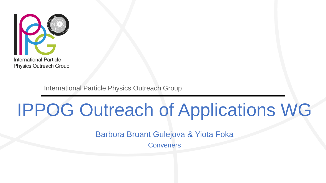

International Particle Physics Outreach Group

# IPPOG Outreach of Applications WG

Barbora Bruant Gulejova & Yiota Foka

**Conveners**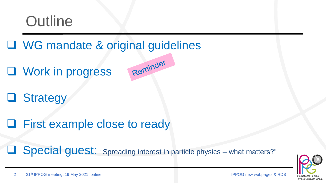

#### □ WG mandate & original guidelines

**Q** Work in progress

Reminder

**Q** Strategy

**□ First example close to ready** 

**Special quest:** "Spreading interest in particle physics – what matters?"

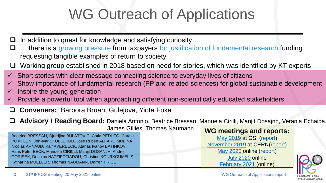# WG Outreach of Applications

- $\Box$  In addition to quest for knowledge and satisfying curiosity....
- $\Box$  ... there is a growing pressure from taxpayers for justification of fundamental research funding requesting tangible examples of return to society
- $\Box$  Working group established in 2018 based on need for stories, which was identified by KT experts
- Short stories with clear message connecting science to everyday lives of citizens
- Show importance of fundamental research (PP and related sciences) for global sustainable development
- Inspire the young generation
- Provide a powerful tool when approaching different non-scientifically educated stakeholders
- **Conveners:** Barbora Bruant Gulejova, Yiota Foka
- **Advisory / Reading Board:** Daniela Antonio, Beatrice Bressan, Manuela Cirilli, Manjit Dosajnh, Verania Echaida,

James Gillies, Thomas Naumann

Beatrice BRESSAN, Djurdjina BULATOVIC, Catia PEDUTO, Carola POMPLUN, Jon-Ivar SKULLERUD, Jose Ruben ALFARO MOLINA, Nicolas ARNAUD, Ralf AVERBECK, Atanas Ivanov BATINKOV, Hans Peter BECK, Manuela CIRILLI, Manjit DOSANJH, Andrej GORISEK, Despina HATZIFOTIADOU, Christine KOURKOUMELIS, Katharina MUELLER, Thomas NAUMANN, Darren PRICE

#### **WG meetings and reports:**

[May 2019](https://indico.cern.ch/event/767060/timetable/#20190522.detailed) at GSI ([report](https://indico.cern.ch/event/767060/contributions/3425262/attachments/1851019/3268429/WG_outreach_applications_for_society_introduction_and_working_plan_.pdf)) [November 2019](https://indico.cern.ch/event/855335/timetable/) at CERN(r[eport](https://indico.cern.ch/event/855335/contributions/3657421/attachments/1953930/3245249/YF-IPPOG-WG-OutreachforApplications-REPORT-29nov2019asgiven.pdf)) [May 2020 o](https://indico.cern.ch/event/915486/)nline [\(report\)](https://indico.cern.ch/event/888362/contributions/3745610/attachments/2035015/3407564/IPPOG_WG_Applications_REPORT-8may2020-asgiven-compressed.pdf) [July 2020](https://indico.cern.ch/event/942612/) online [February 2021](https://indico.cern.ch/event/1001605/) (online)

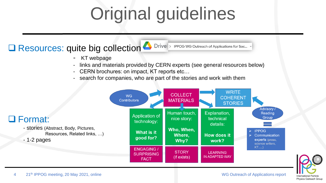# Original guidelines

#### Resources: quite big collection **And Drive State of Applications for Soc...**

- KT webpage
- links and materials provided by CERN experts (see general resources below)
- CERN brochures: on impact, KT reports etc…
- search for companies, who are part of the stories and work with them



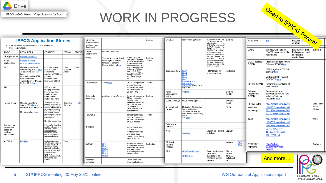

#### WORK IN PROGRESS

| <b>Drive</b>                                                                                                     |                                                                                                                                                                                                                                                                                          |                                                                                                                                                                                                                                                                                                                                                                                             |                               |                 |                                                                 |                                                                                                        |                                                                                                                                                                                                                                                                                   |                  |  |                                        |                                                                                                                                                   |                                                                                                                                             |                                                     |                     |                                            |                                                                                                                                                                          |                                                         |                                         |  |
|------------------------------------------------------------------------------------------------------------------|------------------------------------------------------------------------------------------------------------------------------------------------------------------------------------------------------------------------------------------------------------------------------------------|---------------------------------------------------------------------------------------------------------------------------------------------------------------------------------------------------------------------------------------------------------------------------------------------------------------------------------------------------------------------------------------------|-------------------------------|-----------------|-----------------------------------------------------------------|--------------------------------------------------------------------------------------------------------|-----------------------------------------------------------------------------------------------------------------------------------------------------------------------------------------------------------------------------------------------------------------------------------|------------------|--|----------------------------------------|---------------------------------------------------------------------------------------------------------------------------------------------------|---------------------------------------------------------------------------------------------------------------------------------------------|-----------------------------------------------------|---------------------|--------------------------------------------|--------------------------------------------------------------------------------------------------------------------------------------------------------------------------|---------------------------------------------------------|-----------------------------------------|--|
| IPPOG WG Outreach of Applications for Soc                                                                        |                                                                                                                                                                                                                                                                                          |                                                                                                                                                                                                                                                                                                                                                                                             |                               |                 |                                                                 |                                                                                                        | <b>WORK IN PROGRESS</b>                                                                                                                                                                                                                                                           |                  |  |                                        | Open to IPPOG Forum!                                                                                                                              |                                                                                                                                             |                                                     |                     |                                            |                                                                                                                                                                          |                                                         |                                         |  |
|                                                                                                                  |                                                                                                                                                                                                                                                                                          |                                                                                                                                                                                                                                                                                                                                                                                             |                               |                 |                                                                 |                                                                                                        |                                                                                                                                                                                                                                                                                   |                  |  |                                        |                                                                                                                                                   |                                                                                                                                             |                                                     |                     |                                            |                                                                                                                                                                          |                                                         |                                         |  |
| <b>IPPOG Application Stories</b><br>. Sign up for the topic where you want to contribute<br>· Propose new topics |                                                                                                                                                                                                                                                                                          |                                                                                                                                                                                                                                                                                                                                                                                             |                               |                 | <b>MEDICIS</b><br>(Radioisotopes<br>treatment and<br>diagnosis) |                                                                                                        |                                                                                                                                                                                                                                                                                   | Barbora          |  | <b>UNOSAT</b>                          | Notes from BBG here                                                                                                                               | In cooperation with UN.   Barbora<br>CERN provides the IT<br>infrastructure<br>UNOSAT programme of<br>UNITAR hosted at<br>CERN, to be at te |                                                     |                     | Hyperloop                                  |                                                                                                                                                                          |                                                         |                                         |  |
| <b>TOPIC</b>                                                                                                     | <b>RESOURCES</b>                                                                                                                                                                                                                                                                         | <b>COMMENT</b>                                                                                                                                                                                                                                                                                                                                                                              | <b>PERSON</b>                 | <b>STATUS</b>   | Other<br>applications                                           | General resources                                                                                      |                                                                                                                                                                                                                                                                                   |                  |  |                                        | Link 1<br>Link <sub>2</sub><br>Link <sub>3</sub><br>Link 4<br>Link <sub>5</sub><br><b>Renewable and</b><br>sustainable.<br>Volume 55, March 2016, | forefrtont of satellite<br>analysis technology -15<br>years of humanitarian<br>mapping: disaster risk                                       |                                                     |                     | CAEN                                       | Interview with Gianni<br>(CAEN), more materials<br>will be sent                                                                                                          | Examples of their<br>technologies used<br>in industrial | Bar <sub>v</sub> ora                    |  |
| All applications<br>Medical<br>applications                                                                      | <b>General resources</b><br><b>General medical</b><br>applications resources                                                                                                                                                                                                             |                                                                                                                                                                                                                                                                                                                                                                                             |                               |                 | <b>WWW</b>                                                      | Text for article for slovak<br>newspaper in Slovak<br>language, Barbora<br><b>Bruant Gulejova:here</b> | nvention at CERN<br>1993) driven by need<br>of better communication<br>of scientist worldwide,<br>had a huge impact: # of<br>internet users from 14<br>nillions to 3.2 billions<br>from 1993 till 2015-<br>contribution to 2.9% of<br>world global GDP ~<br>1672 billion US\$ (in | Barbora<br>Teddy |  |                                        |                                                                                                                                                   | reduction,<br>regional<br>capacity development.<br>damage assessment                                                                        |                                                     |                     | <b>CERN</b> against<br>COVID               | <b>Presentation from James</b><br>Gillies at IPPOG here<br>CERN against COVID19<br>seminar here<br>Website CERN against                                                  | applications                                            |                                         |  |
| PET<br>RMI<br>Hadron therapy                                                                                     | <b>Material from Martin</b><br>Wensveen (CERN) here<br>Interview to be done<br>later:<br>-Maybe include CAEN<br>PET scanner kit<br>-Presentation by Despina<br>29 Nov 2019 here<br><b>Material from Hans</b><br>Specht (GSI) here +<br>interview to be done later<br>More materials here | PET using new<br>type of dense<br>scintillating<br>crystals; CERN has<br>pioneer<br>contribution to<br>forerunner of PET                                                                                                                                                                                                                                                                    | Yiota<br>Despina<br>Andrej    | Draft           |                                                                 |                                                                                                        |                                                                                                                                                                                                                                                                                   |                  |  | Superconductivity                      |                                                                                                                                                   | climate services, wate<br>and food security<br>Potential use for<br>energy transport                                                        | Katharina                                           |                     |                                            |                                                                                                                                                                          |                                                         |                                         |  |
|                                                                                                                  |                                                                                                                                                                                                                                                                                          |                                                                                                                                                                                                                                                                                                                                                                                             |                               |                 | Touchscreen                                                     | Article here<br>Article in symmetry here                                                               | 2011)<br>CERN was pioneer<br>in breakthrough<br>technologies, such<br>as touchscreen for<br>SPS in 1973                                                                                                                                                                           | Thomas           |  |                                        |                                                                                                                                                   |                                                                                                                                             |                                                     |                     | LIP and COVID                              | <b>COVID TF here</b><br>Ricardo's presentation at<br><b>IPPOG</b> here                                                                                                   |                                                         |                                         |  |
|                                                                                                                  |                                                                                                                                                                                                                                                                                          | PET and MRI<br>imaging combined<br>in single device<br>thanks to new<br>generation of<br><b>CERN</b> detectors<br>Treating tumours with<br>beams of protons and light<br>ions reducing the radiation<br>exposure of healthy issue<br>3 HT centres in Europe<br>built in collaboration with<br>CERN; CERN supports<br>development of ministure<br>linear accelerators for<br>proton therapy) |                               |                 |                                                                 |                                                                                                        |                                                                                                                                                                                                                                                                                   |                  |  | Rolex<br>antimagnetic                  | Pages 59-72<br>See link                                                                                                                           |                                                                                                                                             | Barbora<br>Teddy                                    |                     | Science<br>response to                     | Presentation from<br>Savanah at IPPOG here<br>Initiative "science<br>responds" here<br>https://indico.cern.ch/eve<br>nt/942612/contributions/3<br>962145/attachments/208 |                                                         |                                         |  |
|                                                                                                                  |                                                                                                                                                                                                                                                                                          |                                                                                                                                                                                                                                                                                                                                                                                             |                               |                 | Solar cells<br>technology                                       |                                                                                                        | Benvenutti working at   Barbora<br><b>CERN.</b> Inspiration<br>for solar cells<br>technology based on<br>ultra high vacuum -<br>GVA airport. KT<br>case, cautious as it<br>went bankrupt                                                                                          |                  |  | watch<br>Cultural heritage             | Muon tomography                                                                                                                                   |                                                                                                                                             | Despina                                             |                     | COVID                                      |                                                                                                                                                                          |                                                         |                                         |  |
|                                                                                                                  |                                                                                                                                                                                                                                                                                          |                                                                                                                                                                                                                                                                                                                                                                                             | Katharina<br><b>Bulatovic</b> | <b>HT</b> story |                                                                 |                                                                                                        |                                                                                                                                                                                                                                                                                   |                  |  | Accelerators for<br>society            | Medication, Sterilisation,<br>Water purification.<br>"Accelerators on ships"<br>from "ARIES Accelerating<br>News"<br>See here                     |                                                                                                                                             | Katia<br>Yiota                                      |                     | Physics in the<br>service of<br>archeology |                                                                                                                                                                          |                                                         | Jose Ruben<br>Alfaro<br>Molina<br>Yiota |  |
|                                                                                                                  |                                                                                                                                                                                                                                                                                          |                                                                                                                                                                                                                                                                                                                                                                                             |                               |                 | <b>TERABEE</b>                                                  |                                                                                                        | sensor technology<br>used in drones to<br>explore places with                                                                                                                                                                                                                     | Teddy            |  |                                        |                                                                                                                                                   |                                                                                                                                             |                                                     |                     | Tesla                                      | 2233/3497568/Alfaro.pdf<br>https://indico.cern.ch/eve                                                                                                                    |                                                         |                                         |  |
| Precise dose                                                                                                     | Kraft (presentation)<br>Software for simulating                                                                                                                                                                                                                                          |                                                                                                                                                                                                                                                                                                                                                                                             |                               |                 |                                                                 |                                                                                                        | difficult access                                                                                                                                                                                                                                                                  |                  |  | Detectors in<br>industry               |                                                                                                                                                   |                                                                                                                                             |                                                     |                     |                                            | nt/942612/contributions/3<br>960794/attachments/208                                                                                                                      |                                                         |                                         |  |
| calculations<br>based on<br>particles<br>simulations                                                             |                                                                                                                                                                                                                                                                                          | particles interactions in<br>detectors -used to<br>calculate precise<br>radiation dose for<br>cancer treatment<br>space applications                                                                                                                                                                                                                                                        |                               |                 | <b>INVENIO</b>                                                  |                                                                                                        | digital library and<br>document<br>repository used by<br>providing cloud<br>based digital library<br>system for UN                                                                                                                                                                |                  |  | WIFI                                   | See here                                                                                                                                          | Search for Hawking   Jonivar<br>radiation                                                                                                   |                                                     |                     |                                            | 2036/3497226/YF-<br><b>TESLA-IPPOG-WG-</b><br>29july2020.pdf                                                                                                             |                                                         |                                         |  |
| MEDIPIX                                                                                                          | Info here                                                                                                                                                                                                                                                                                | medical diagnostics.<br>industrial processes, X-<br>rav based material<br>analysis, X-rays by<br>detectors invented by<br>Charpak in 1968 need<br>fraction of dose<br>required by<br>photographic methods.<br><b>International Space</b>                                                                                                                                                    | Yiota                         |                 | CLOUD                                                           | Link 1<br>Link <sub>2</sub><br>Link <sub>3</sub><br>Link <sub>4</sub><br>Link!<br>Link 6               | exploring the influence<br>of cosmic rays on cloud<br>formation in the Earth's<br>atmosphere giving<br>important input to global<br>climate models                                                                                                                                | Katharina        |  | GPS and<br>Einstein<br><b>Theories</b> |                                                                                                                                                   |                                                                                                                                             | Lorenzo                                             | <b>GPS</b><br>story | <b>ATTRACT</b><br>highlights               | https://attract-<br>eu.com/news-and-                                                                                                                                     |                                                         | Barbora                                 |  |
|                                                                                                                  |                                                                                                                                                                                                                                                                                          |                                                                                                                                                                                                                                                                                                                                                                                             |                               |                 |                                                                 |                                                                                                        |                                                                                                                                                                                                                                                                                   |                  |  | GPS                                    | <b>GNSS Masterclass</b><br><b>GNSS links</b>                                                                                                      | <b>Example of simple</b><br><b>GPS</b> based<br>masterclass for<br>EEE high school<br>students                                              | Marina<br>Trimarchi<br>for EEE<br>collaborati<br>on |                     |                                            | events/                                                                                                                                                                  |                                                         |                                         |  |
|                                                                                                                  |                                                                                                                                                                                                                                                                                          | Station                                                                                                                                                                                                                                                                                                                                                                                     |                               |                 | Radiation<br>protection                                         |                                                                                                        | Dosimeters and<br>other applications                                                                                                                                                                                                                                              |                  |  |                                        |                                                                                                                                                   |                                                                                                                                             |                                                     |                     |                                            | And more                                                                                                                                                                 |                                                         |                                         |  |
|                                                                                                                  |                                                                                                                                                                                                                                                                                          |                                                                                                                                                                                                                                                                                                                                                                                             |                               |                 |                                                                 |                                                                                                        |                                                                                                                                                                                                                                                                                   |                  |  |                                        |                                                                                                                                                   |                                                                                                                                             |                                                     |                     |                                            |                                                                                                                                                                          |                                                         |                                         |  |

**International Particle** Physics Outreach Group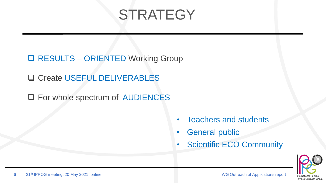## **STRATEGY**

□ RESULTS – ORIENTED Working Group

**□ Create USEFUL DELIVERABLES** 

□ For whole spectrum of AUDIENCES

- Teachers and students
- **General public**
- **Scientific ECO Community**

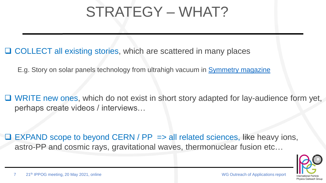### STRATEGY – WHAT?

□ COLLECT all existing stories, which are scattered in many places

E.g. Story on solar panels technology from ultrahigh vacuum in [Symmetry](https://www.symmetrymagazine.org/breaking/2012/03/16/cern-spin-off-more-efficient-solar-panels) [magazine](https://www.symmetrymagazine.org/breaking/2012/03/16/cern-spin-off-more-efficient-solar-panels)

 $\Box$  WRITE new ones, which do not exist in short story adapted for lay-audience form yet, perhaps create videos / interviews…

 $\Box$  EXPAND scope to beyond CERN / PP => all related sciences, like heavy ions, astro-PP and cosmic rays, gravitational waves, thermonuclear fusion etc…

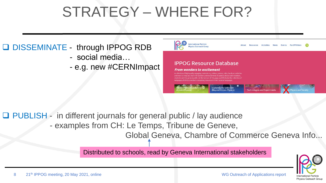## STRATEGY – WHERE FOR?

#### **Q DISSEMINATE - through IPPOG RDB**

- social media…
- e.g. new #CERNImpact



□ PUBLISH - in different journals for general public / lay audience

- examples from CH: Le Temps, Tribune de Geneve,

Global Geneva, Chambre of Commerce Geneva Info...

Distributed to schools, read by Geneva International stakeholders

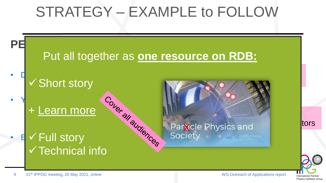### STRATEGY – EXAMPLE to FOLLOW



**International Particle** Physics Outreach Group